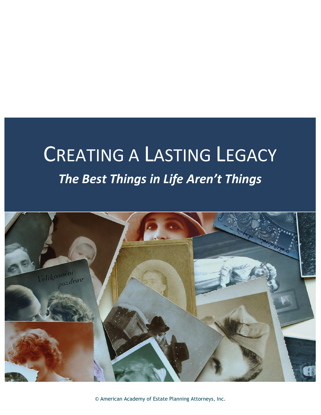# CREATING A LASTING LEGACY *The Best Things in Life Aren't Things*



© American Academy of Estate Planning Attorneys, Inc.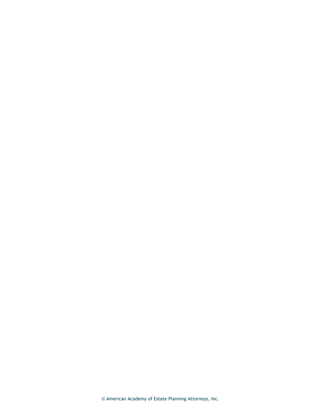© American Academy of Estate Planning Attorneys, Inc.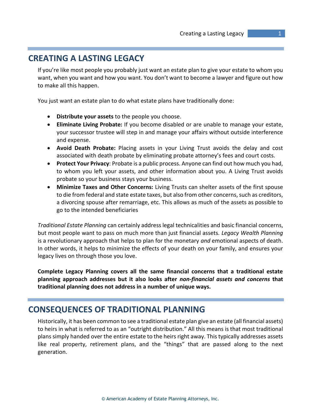# **CREATING A LASTING LEGACY**

If you're like most people you probably just want an estate plan to give your estate to whom you want, when you want and how you want. You don't want to become a lawyer and figure out how to make all this happen.

You just want an estate plan to do what estate plans have traditionally done:

- **Distribute your assets** to the people you choose.
- **Eliminate Living Probate:** If you become disabled or are unable to manage your estate, your successor trustee will step in and manage your affairs without outside interference and expense.
- **Avoid Death Probate:** Placing assets in your Living Trust avoids the delay and cost associated with death probate by eliminating probate attorney's fees and court costs.
- **Protect Your Privacy**: Probate is a public process. Anyone can find out how much you had, to whom you left your assets, and other information about you. A Living Trust avoids probate so your business stays your business.
- **Minimize Taxes and Other Concerns:** Living Trusts can shelter assets of the first spouse to die from federal and state estate taxes, but also from other concerns, such as creditors, a divorcing spouse after remarriage, etc. This allows as much of the assets as possible to go to the intended beneficiaries

*Traditional Estate Planning* can certainly address legal technicalities and basic financial concerns, but most people want to pass on much more than just financial assets. *Legacy Wealth Planning* is a revolutionary approach that helps to plan for the monetary *and* emotional aspects of death. In other words, it helps to minimize the effects of your death on your family, and ensures your legacy lives on through those you love.

**Complete Legacy Planning covers all the same financial concerns that a traditional estate planning approach addresses but it also looks after** *non-financial assets and concerns* **that traditional planning does not address in a number of unique ways.** 

## **CONSEQUENCES OF TRADITIONAL PLANNING**

Historically, it has been common to see a traditional estate plan give an estate (all financial assets) to heirs in what is referred to as an "outright distribution." All this means is that most traditional plans simply handed over the entire estate to the heirs right away. This typically addresses assets like real property, retirement plans, and the "things" that are passed along to the next generation.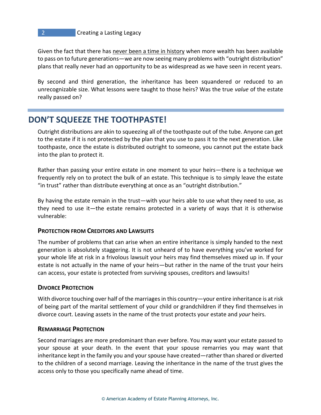Given the fact that there has never been a time in history when more wealth has been available to pass on to future generations—we are now seeing many problems with "outright distribution" plans that really never had an opportunity to be as widespread as we have seen in recent years.

By second and third generation, the inheritance has been squandered or reduced to an unrecognizable size. What lessons were taught to those heirs? Was the true *value* of the estate really passed on?

# **DON'T SQUEEZE THE TOOTHPASTE!**

Outright distributions are akin to squeezing all of the toothpaste out of the tube. Anyone can get to the estate if it is not protected by the plan that you use to pass it to the next generation. Like toothpaste, once the estate is distributed outright to someone, you cannot put the estate back into the plan to protect it.

Rather than passing your entire estate in one moment to your heirs—there is a technique we frequently rely on to protect the bulk of an estate. This technique is to simply leave the estate "in trust" rather than distribute everything at once as an "outright distribution."

By having the estate remain in the trust—with your heirs able to use what they need to use, as they need to use it—the estate remains protected in a variety of ways that it is otherwise vulnerable:

#### **PROTECTION FROM CREDITORS AND LAWSUITS**

The number of problems that can arise when an entire inheritance is simply handed to the next generation is absolutely staggering. It is not unheard of to have everything you've worked for your whole life at risk in a frivolous lawsuit your heirs may find themselves mixed up in. If your estate is not actually in the name of your heirs—but rather in the name of the trust your heirs can access, your estate is protected from surviving spouses, creditors and lawsuits!

#### **DIVORCE PROTECTION**

With divorce touching over half of the marriages in this country—your entire inheritance is at risk of being part of the marital settlement of your child or grandchildren if they find themselves in divorce court. Leaving assets in the name of the trust protects your estate and *your* heirs.

#### **REMARRIAGE PROTECTION**

Second marriages are more predominant than ever before. You may want your estate passed to your spouse at your death. In the event that your spouse remarries you may want that inheritance kept in the family you and your spouse have created—rather than shared or diverted to the children of a second marriage. Leaving the inheritance in the name of the trust gives the access only to those you specifically name ahead of time.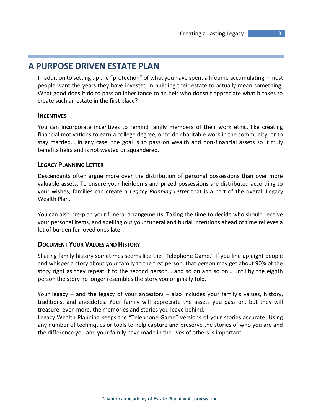## **A PURPOSE DRIVEN ESTATE PLAN**

In addition to setting up the "protection" of what you have spent a lifetime accumulating—most people want the years they have invested in building their estate to actually mean something. What good does it do to pass an inheritance to an heir who doesn't appreciate what it takes to create such an estate in the first place?

#### **INCENTIVES**

You can incorporate incentives to remind family members of their work ethic, like creating financial motivations to earn a college degree, or to do charitable work in the community, or to stay married… In any case, the goal is to pass on wealth and non-financial assets so it truly benefits heirs and is not wasted or squandered.

#### **LEGACY PLANNING LETTER**

Descendants often argue more over the distribution of personal possessions than over more valuable assets. To ensure your heirlooms and prized possessions are distributed according to your wishes, families can create a *Legacy Planning Letter* that is a part of the overall Legacy Wealth Plan.

You can also pre-plan your funeral arrangements. Taking the time to decide who should receive your personal items, and spelling out your funeral and burial intentions ahead of time relieves a lot of burden for loved ones later.

#### **DOCUMENT YOUR VALUES AND HISTORY**

Sharing family history sometimes seems like the "Telephone Game." If you line up eight people and whisper a story about your family to the first person, that person may get about 90% of the story right as they repeat it to the second person… and so on and so on… until by the eighth person the story no longer resembles the story you originally told.

Your legacy – and the legacy of your ancestors – also includes your family's values, history, traditions, and anecdotes. Your family will appreciate the assets you pass on, but they will treasure, even more, the memories and stories you leave behind.

Legacy Wealth Planning keeps the "Telephone Game" versions of your stories accurate. Using any number of techniques or tools to help capture and preserve the stories of who you are and the difference you and your family have made in the lives of others is important.